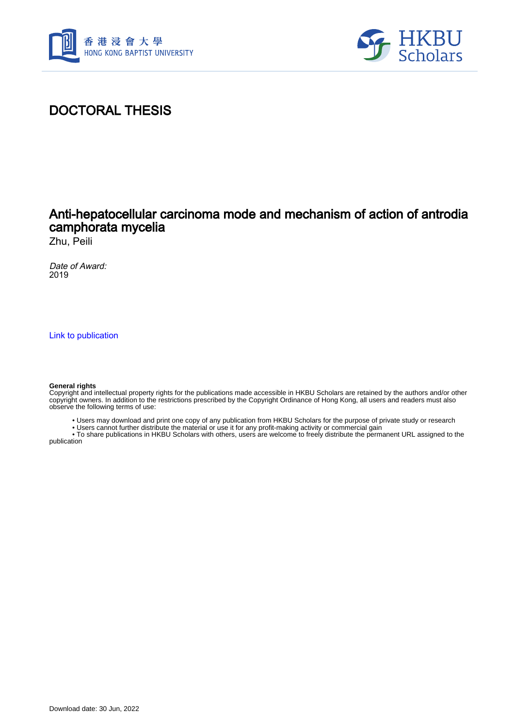



## DOCTORAL THESIS

## Anti-hepatocellular carcinoma mode and mechanism of action of antrodia camphorata mycelia

Zhu, Peili

Date of Award: 2019

[Link to publication](https://scholars.hkbu.edu.hk/en/studentTheses/0dcc3294-b392-4b4b-8a09-1b69cf28008a)

## **General rights**

Copyright and intellectual property rights for the publications made accessible in HKBU Scholars are retained by the authors and/or other copyright owners. In addition to the restrictions prescribed by the Copyright Ordinance of Hong Kong, all users and readers must also observe the following terms of use:

- Users may download and print one copy of any publication from HKBU Scholars for the purpose of private study or research
- Users cannot further distribute the material or use it for any profit-making activity or commercial gain

 • To share publications in HKBU Scholars with others, users are welcome to freely distribute the permanent URL assigned to the publication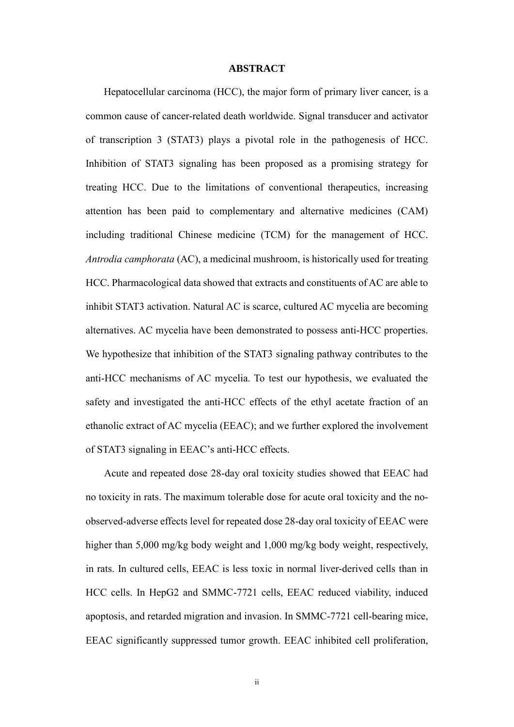## **ABSTRACT**

<span id="page-1-0"></span>Hepatocellular carcinoma (HCC), the major form of primary liver cancer, is a common cause of cancer-related death worldwide. Signal transducer and activator of transcription 3 (STAT3) plays a pivotal role in the pathogenesis of HCC. Inhibition of STAT3 signaling has been proposed as a promising strategy for treating HCC. Due to the limitations of conventional therapeutics, increasing attention has been paid to complementary and alternative medicines (CAM) including traditional Chinese medicine (TCM) for the management of HCC. *Antrodia camphorata* (AC), a medicinal mushroom, is historically used for treating HCC. Pharmacological data showed that extracts and constituents of AC are able to inhibit STAT3 activation. Natural AC is scarce, cultured AC mycelia are becoming alternatives. AC mycelia have been demonstrated to possess anti-HCC properties. We hypothesize that inhibition of the STAT3 signaling pathway contributes to the anti-HCC mechanisms of AC mycelia. To test our hypothesis, we evaluated the safety and investigated the anti-HCC effects of the ethyl acetate fraction of an ethanolic extract of AC mycelia (EEAC); and we further explored the involvement of STAT3 signaling in EEAC's anti-HCC effects.

Acute and repeated dose 28-day oral toxicity studies showed that EEAC had no toxicity in rats. The maximum tolerable dose for acute oral toxicity and the noobserved-adverse effects level for repeated dose 28-day oral toxicity of EEAC were higher than 5,000 mg/kg body weight and 1,000 mg/kg body weight, respectively, in rats. In cultured cells, EEAC is less toxic in normal liver-derived cells than in HCC cells. In HepG2 and SMMC-7721 cells, EEAC reduced viability, induced apoptosis, and retarded migration and invasion. In SMMC-7721 cell-bearing mice, EEAC significantly suppressed tumor growth. EEAC inhibited cell proliferation,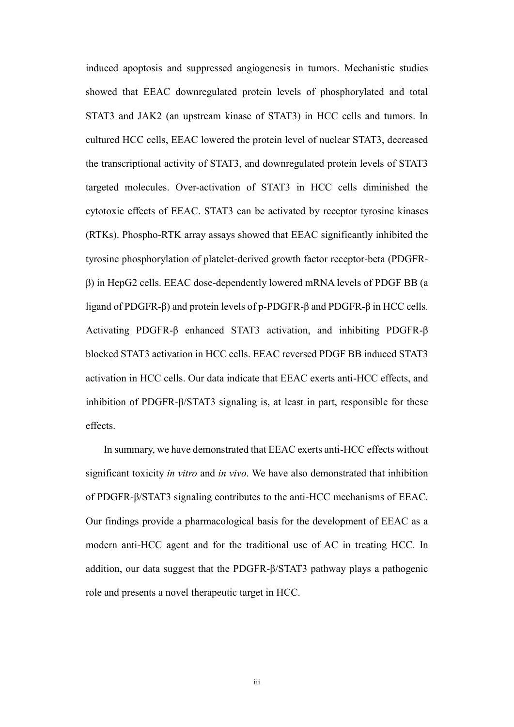induced apoptosis and suppressed angiogenesis in tumors. Mechanistic studies showed that EEAC downregulated protein levels of phosphorylated and total STAT3 and JAK2 (an upstream kinase of STAT3) in HCC cells and tumors. In cultured HCC cells, EEAC lowered the protein level of nuclear STAT3, decreased the transcriptional activity of STAT3, and downregulated protein levels of STAT3 targeted molecules. Over-activation of STAT3 in HCC cells diminished the cytotoxic effects of EEAC. STAT3 can be activated by receptor tyrosine kinases (RTKs). Phospho-RTK array assays showed that EEAC significantly inhibited the tyrosine phosphorylation of platelet-derived growth factor receptor-beta (PDGFRβ) in HepG2 cells. EEAC dose-dependently lowered mRNA levels of PDGF BB (a ligand of PDGFR-β) and protein levels of p-PDGFR-β and PDGFR-β in HCC cells. Activating PDGFR-β enhanced STAT3 activation, and inhibiting PDGFR-β blocked STAT3 activation in HCC cells. EEAC reversed PDGF BB induced STAT3 activation in HCC cells. Our data indicate that EEAC exerts anti-HCC effects, and inhibition of PDGFR-β/STAT3 signaling is, at least in part, responsible for these effects.

In summary, we have demonstrated that EEAC exerts anti-HCC effects without significant toxicity *in vitro* and *in vivo*. We have also demonstrated that inhibition of PDGFR-β/STAT3 signaling contributes to the anti-HCC mechanisms of EEAC. Our findings provide a pharmacological basis for the development of EEAC as a modern anti-HCC agent and for the traditional use of AC in treating HCC. In addition, our data suggest that the PDGFR-β/STAT3 pathway plays a pathogenic role and presents a novel therapeutic target in HCC.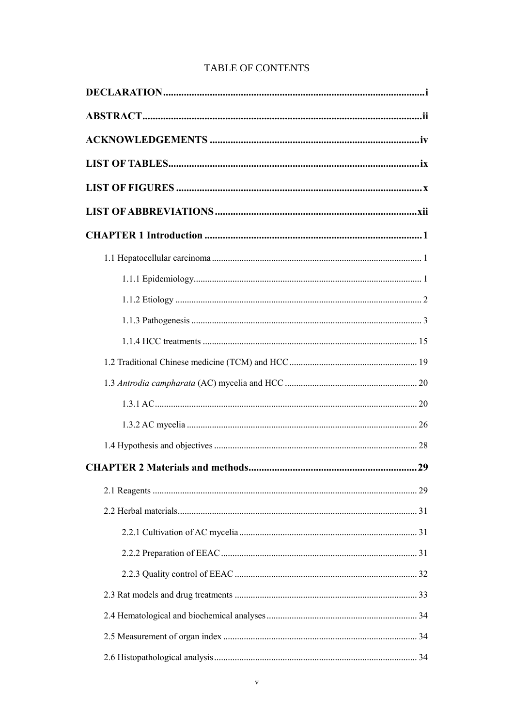|  | <b>TABLE OF CONTENTS</b> |
|--|--------------------------|
|--|--------------------------|

| <b>CHAPTER 2 Materials and methods</b> | 29 |
|----------------------------------------|----|
|                                        |    |
|                                        |    |
|                                        |    |
|                                        |    |
|                                        |    |
|                                        |    |
|                                        |    |
|                                        |    |
|                                        |    |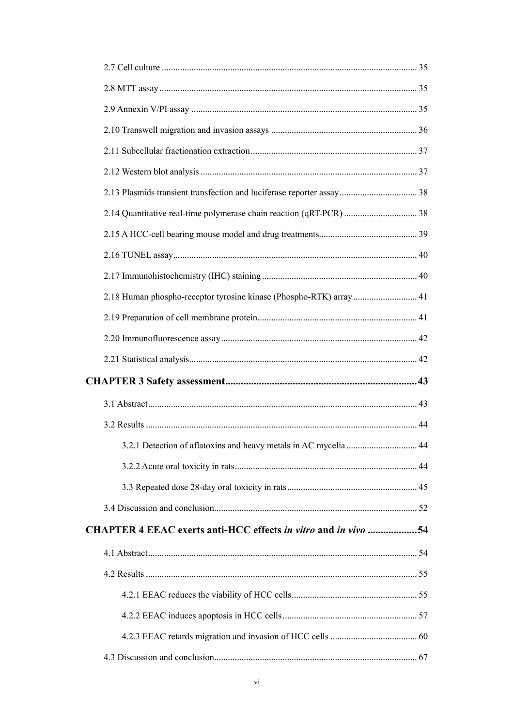| 2.18 Human phospho-receptor tyrosine kinase (Phospho-RTK) array 41 |    |
|--------------------------------------------------------------------|----|
|                                                                    |    |
|                                                                    |    |
|                                                                    |    |
|                                                                    |    |
|                                                                    |    |
|                                                                    |    |
|                                                                    | 44 |
|                                                                    |    |
|                                                                    |    |
|                                                                    |    |
| CHAPTER 4 EEAC exerts anti-HCC effects in vitro and in vivo 54     |    |
|                                                                    |    |
|                                                                    |    |
|                                                                    |    |
|                                                                    |    |
|                                                                    |    |
|                                                                    |    |
|                                                                    |    |